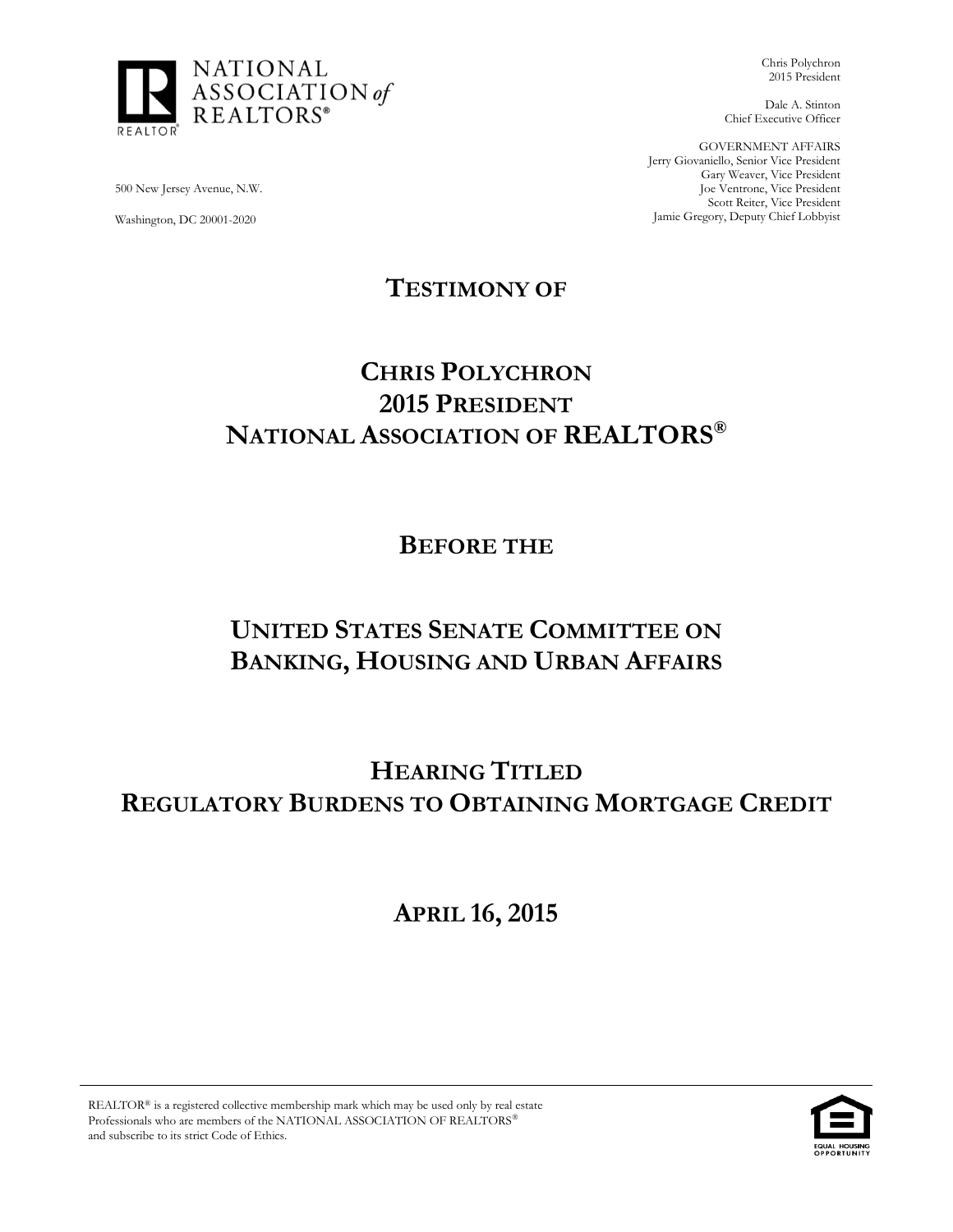

Chris Polychron 2015 President

Dale A. Stinton Chief Executive Officer

GOVERNMENT AFFAIRS Jerry Giovaniello, Senior Vice President Gary Weaver, Vice President Joe Ventrone, Vice President Scott Reiter, Vice President Jamie Gregory, Deputy Chief Lobbyist

500 New Jersey Avenue, N.W.

Washington, DC 20001-2020

**TESTIMONY OF**

# **CHRIS POLYCHRON 2015 PRESIDENT NATIONAL ASSOCIATION OF REALTORS®**

**BEFORE THE**

# **UNITED STATES SENATE COMMITTEE ON BANKING, HOUSING AND URBAN AFFAIRS**

**HEARING TITLED REGULATORY BURDENS TO OBTAINING MORTGAGE CREDIT**

**APRIL 16, 2015**

REALTOR® is a registered collective membership mark which may be used only by real estate Professionals who are members of the NATIONAL ASSOCIATION OF REALTORS and subscribe to its strict Code of Ethics.

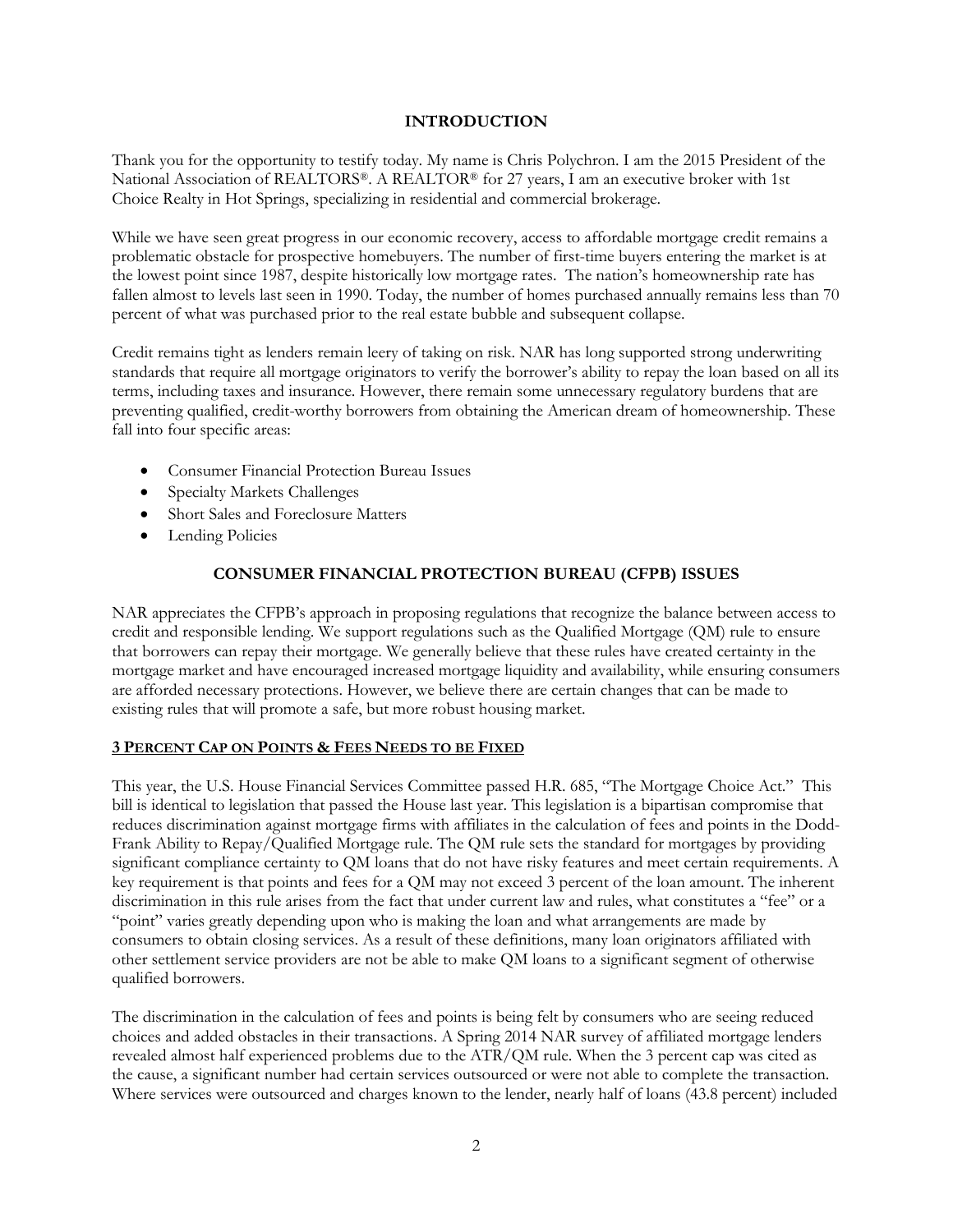## **INTRODUCTION**

Thank you for the opportunity to testify today. My name is Chris Polychron. I am the 2015 President of the National Association of REALTORS®. A REALTOR® for 27 years, I am an executive broker with 1st Choice Realty in Hot Springs, specializing in residential and commercial brokerage.

While we have seen great progress in our economic recovery, access to affordable mortgage credit remains a problematic obstacle for prospective homebuyers. The number of first-time buyers entering the market is at the lowest point since 1987, despite historically low mortgage rates. The nation's homeownership rate has fallen almost to levels last seen in 1990. Today, the number of homes purchased annually remains less than 70 percent of what was purchased prior to the real estate bubble and subsequent collapse.

Credit remains tight as lenders remain leery of taking on risk. NAR has long supported strong underwriting standards that require all mortgage originators to verify the borrower's ability to repay the loan based on all its terms, including taxes and insurance. However, there remain some unnecessary regulatory burdens that are preventing qualified, credit-worthy borrowers from obtaining the American dream of homeownership. These fall into four specific areas:

- Consumer Financial Protection Bureau Issues
- Specialty Markets Challenges
- Short Sales and Foreclosure Matters
- Lending Policies

# **CONSUMER FINANCIAL PROTECTION BUREAU (CFPB) ISSUES**

NAR appreciates the CFPB's approach in proposing regulations that recognize the balance between access to credit and responsible lending. We support regulations such as the Qualified Mortgage (QM) rule to ensure that borrowers can repay their mortgage. We generally believe that these rules have created certainty in the mortgage market and have encouraged increased mortgage liquidity and availability, while ensuring consumers are afforded necessary protections. However, we believe there are certain changes that can be made to existing rules that will promote a safe, but more robust housing market.

#### **3 PERCENT CAP ON POINTS & FEES NEEDS TO BE FIXED**

This year, the U.S. House Financial Services Committee passed H.R. 685, "The Mortgage Choice Act." This bill is identical to legislation that passed the House last year. This legislation is a bipartisan compromise that reduces discrimination against mortgage firms with affiliates in the calculation of fees and points in the Dodd-Frank Ability to Repay/Qualified Mortgage rule. The QM rule sets the standard for mortgages by providing significant compliance certainty to QM loans that do not have risky features and meet certain requirements. A key requirement is that points and fees for a QM may not exceed 3 percent of the loan amount. The inherent discrimination in this rule arises from the fact that under current law and rules, what constitutes a "fee" or a "point" varies greatly depending upon who is making the loan and what arrangements are made by consumers to obtain closing services. As a result of these definitions, many loan originators affiliated with other settlement service providers are not be able to make QM loans to a significant segment of otherwise qualified borrowers.

The discrimination in the calculation of fees and points is being felt by consumers who are seeing reduced choices and added obstacles in their transactions. A Spring 2014 NAR survey of affiliated mortgage lenders revealed almost half experienced problems due to the ATR/QM rule. When the 3 percent cap was cited as the cause, a significant number had certain services outsourced or were not able to complete the transaction. Where services were outsourced and charges known to the lender, nearly half of loans (43.8 percent) included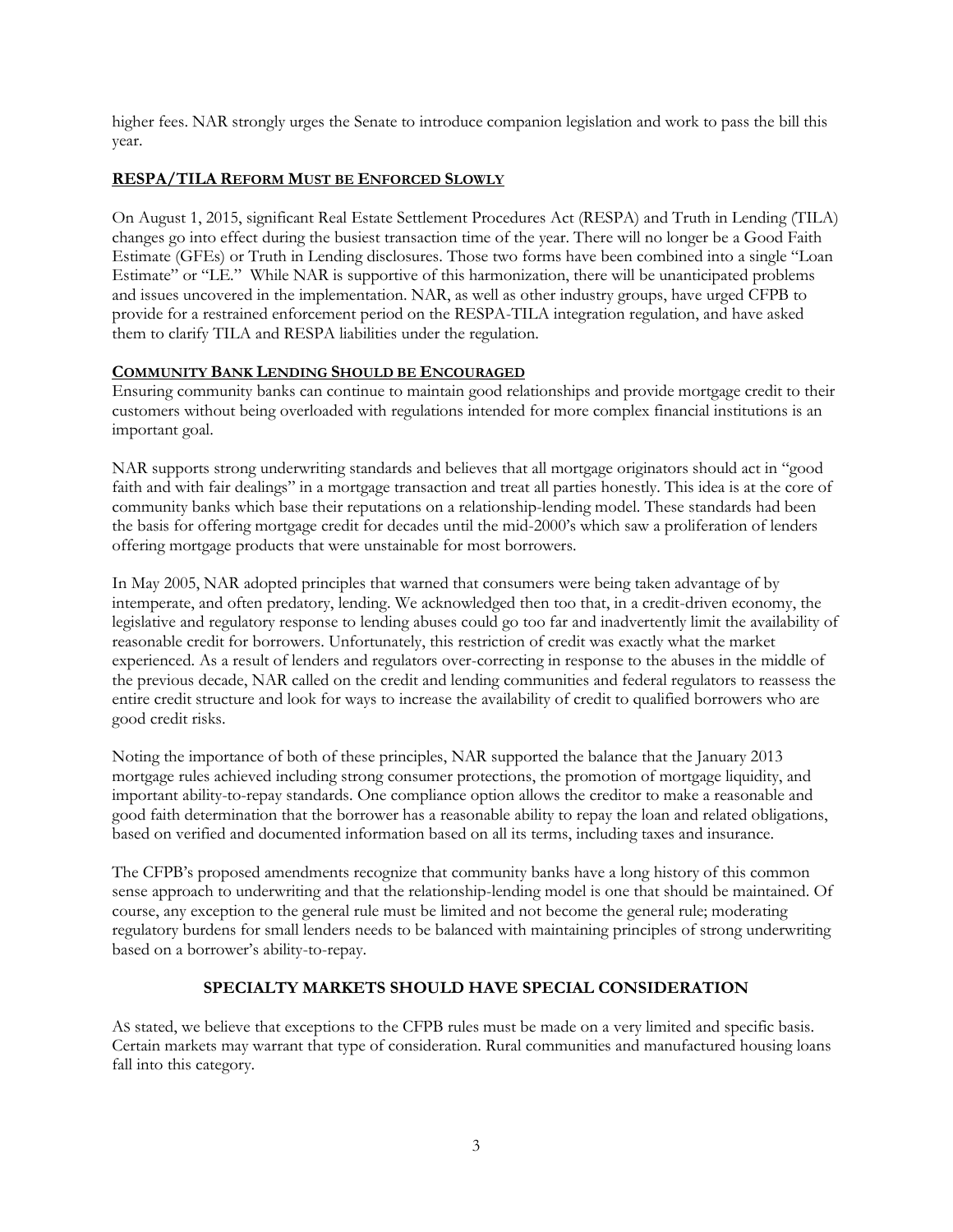higher fees. NAR strongly urges the Senate to introduce companion legislation and work to pass the bill this year.

# **RESPA/TILA REFORM MUST BE ENFORCED SLOWLY**

On August 1, 2015, significant Real Estate Settlement Procedures Act (RESPA) and Truth in Lending (TILA) changes go into effect during the busiest transaction time of the year. There will no longer be a Good Faith Estimate (GFEs) or Truth in Lending disclosures. Those two forms have been combined into a single "Loan Estimate" or "LE." While NAR is supportive of this harmonization, there will be unanticipated problems and issues uncovered in the implementation. NAR, as well as other industry groups, have urged CFPB to provide for a restrained enforcement period on the RESPA-TILA integration regulation, and have asked them to clarify TILA and RESPA liabilities under the regulation.

## **COMMUNITY BANK LENDING SHOULD BE ENCOURAGED**

Ensuring community banks can continue to maintain good relationships and provide mortgage credit to their customers without being overloaded with regulations intended for more complex financial institutions is an important goal.

NAR supports strong underwriting standards and believes that all mortgage originators should act in "good faith and with fair dealings" in a mortgage transaction and treat all parties honestly. This idea is at the core of community banks which base their reputations on a relationship-lending model. These standards had been the basis for offering mortgage credit for decades until the mid-2000's which saw a proliferation of lenders offering mortgage products that were unstainable for most borrowers.

In May 2005, NAR adopted principles that warned that consumers were being taken advantage of by intemperate, and often predatory, lending. We acknowledged then too that, in a credit-driven economy, the legislative and regulatory response to lending abuses could go too far and inadvertently limit the availability of reasonable credit for borrowers. Unfortunately, this restriction of credit was exactly what the market experienced. As a result of lenders and regulators over-correcting in response to the abuses in the middle of the previous decade, NAR called on the credit and lending communities and federal regulators to reassess the entire credit structure and look for ways to increase the availability of credit to qualified borrowers who are good credit risks.

Noting the importance of both of these principles, NAR supported the balance that the January 2013 mortgage rules achieved including strong consumer protections, the promotion of mortgage liquidity, and important ability-to-repay standards. One compliance option allows the creditor to make a reasonable and good faith determination that the borrower has a reasonable ability to repay the loan and related obligations, based on verified and documented information based on all its terms, including taxes and insurance.

The CFPB's proposed amendments recognize that community banks have a long history of this common sense approach to underwriting and that the relationship-lending model is one that should be maintained. Of course, any exception to the general rule must be limited and not become the general rule; moderating regulatory burdens for small lenders needs to be balanced with maintaining principles of strong underwriting based on a borrower's ability-to-repay.

# **SPECIALTY MARKETS SHOULD HAVE SPECIAL CONSIDERATION**

AS stated, we believe that exceptions to the CFPB rules must be made on a very limited and specific basis. Certain markets may warrant that type of consideration. Rural communities and manufactured housing loans fall into this category.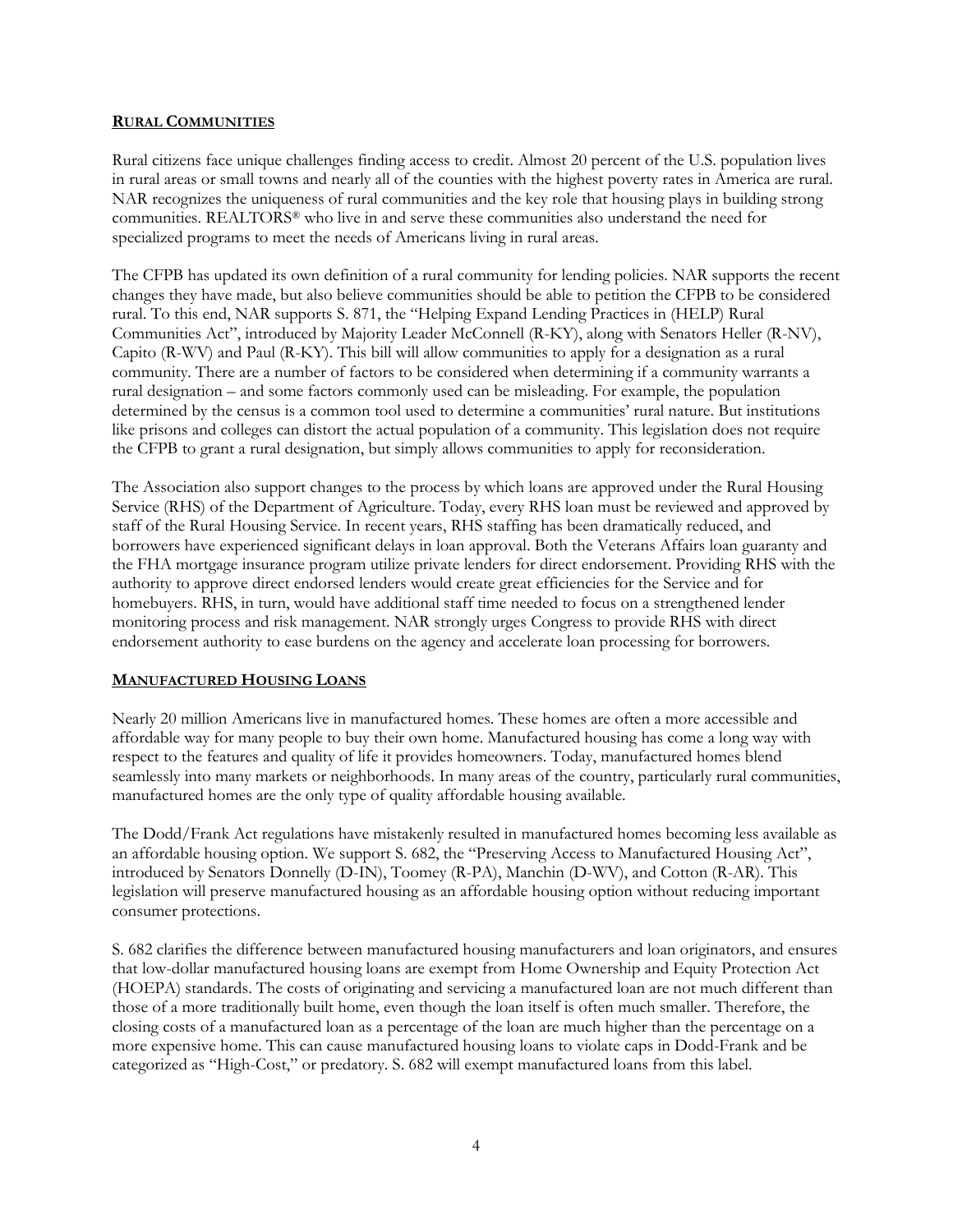#### **RURAL COMMUNITIES**

Rural citizens face unique challenges finding access to credit. Almost 20 percent of the U.S. population lives in rural areas or small towns and nearly all of the counties with the highest poverty rates in America are rural. NAR recognizes the uniqueness of rural communities and the key role that housing plays in building strong communities. REALTORS® who live in and serve these communities also understand the need for specialized programs to meet the needs of Americans living in rural areas.

The CFPB has updated its own definition of a rural community for lending policies. NAR supports the recent changes they have made, but also believe communities should be able to petition the CFPB to be considered rural. To this end, NAR supports S. 871, the "Helping Expand Lending Practices in (HELP) Rural Communities Act", introduced by Majority Leader McConnell (R-KY), along with Senators Heller (R-NV), Capito (R-WV) and Paul (R-KY). This bill will allow communities to apply for a designation as a rural community. There are a number of factors to be considered when determining if a community warrants a rural designation – and some factors commonly used can be misleading. For example, the population determined by the census is a common tool used to determine a communities' rural nature. But institutions like prisons and colleges can distort the actual population of a community. This legislation does not require the CFPB to grant a rural designation, but simply allows communities to apply for reconsideration.

The Association also support changes to the process by which loans are approved under the Rural Housing Service (RHS) of the Department of Agriculture. Today, every RHS loan must be reviewed and approved by staff of the Rural Housing Service. In recent years, RHS staffing has been dramatically reduced, and borrowers have experienced significant delays in loan approval. Both the Veterans Affairs loan guaranty and the FHA mortgage insurance program utilize private lenders for direct endorsement. Providing RHS with the authority to approve direct endorsed lenders would create great efficiencies for the Service and for homebuyers. RHS, in turn, would have additional staff time needed to focus on a strengthened lender monitoring process and risk management. NAR strongly urges Congress to provide RHS with direct endorsement authority to ease burdens on the agency and accelerate loan processing for borrowers.

#### **MANUFACTURED HOUSING LOANS**

Nearly 20 million Americans live in manufactured homes. These homes are often a more accessible and affordable way for many people to buy their own home. Manufactured housing has come a long way with respect to the features and quality of life it provides homeowners. Today, manufactured homes blend seamlessly into many markets or neighborhoods. In many areas of the country, particularly rural communities, manufactured homes are the only type of quality affordable housing available.

The Dodd/Frank Act regulations have mistakenly resulted in manufactured homes becoming less available as an affordable housing option. We support S. 682, the "Preserving Access to Manufactured Housing Act", introduced by Senators Donnelly (D-IN), Toomey (R-PA), Manchin (D-WV), and Cotton (R-AR). This legislation will preserve manufactured housing as an affordable housing option without reducing important consumer protections.

S. 682 clarifies the difference between manufactured housing manufacturers and loan originators, and ensures that low-dollar manufactured housing loans are exempt from Home Ownership and Equity Protection Act (HOEPA) standards. The costs of originating and servicing a manufactured loan are not much different than those of a more traditionally built home, even though the loan itself is often much smaller. Therefore, the closing costs of a manufactured loan as a percentage of the loan are much higher than the percentage on a more expensive home. This can cause manufactured housing loans to violate caps in Dodd-Frank and be categorized as "High-Cost," or predatory. S. 682 will exempt manufactured loans from this label.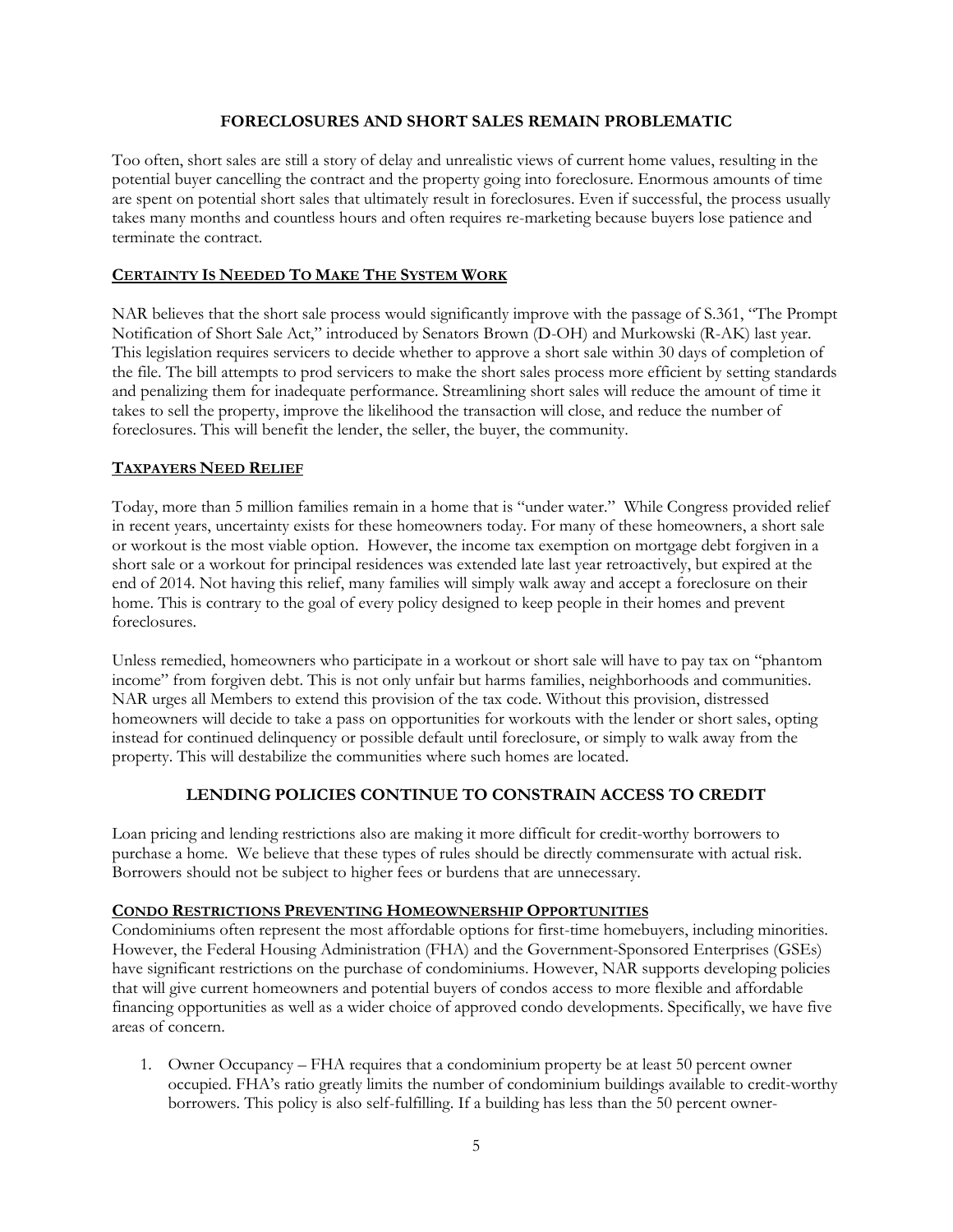## **FORECLOSURES AND SHORT SALES REMAIN PROBLEMATIC**

Too often, short sales are still a story of delay and unrealistic views of current home values, resulting in the potential buyer cancelling the contract and the property going into foreclosure. Enormous amounts of time are spent on potential short sales that ultimately result in foreclosures. Even if successful, the process usually takes many months and countless hours and often requires re-marketing because buyers lose patience and terminate the contract.

## **CERTAINTY IS NEEDED TO MAKE THE SYSTEM WORK**

NAR believes that the short sale process would significantly improve with the passage of S.361, "The Prompt Notification of Short Sale Act," introduced by Senators Brown (D-OH) and Murkowski (R-AK) last year. This legislation requires servicers to decide whether to approve a short sale within 30 days of completion of the file. The bill attempts to prod servicers to make the short sales process more efficient by setting standards and penalizing them for inadequate performance. Streamlining short sales will reduce the amount of time it takes to sell the property, improve the likelihood the transaction will close, and reduce the number of foreclosures. This will benefit the lender, the seller, the buyer, the community.

## **TAXPAYERS NEED RELIEF**

Today, more than 5 million families remain in a home that is "under water." While Congress provided relief in recent years, uncertainty exists for these homeowners today. For many of these homeowners, a short sale or workout is the most viable option. However, the income tax exemption on mortgage debt forgiven in a short sale or a workout for principal residences was extended late last year retroactively, but expired at the end of 2014. Not having this relief, many families will simply walk away and accept a foreclosure on their home. This is contrary to the goal of every policy designed to keep people in their homes and prevent foreclosures.

Unless remedied, homeowners who participate in a workout or short sale will have to pay tax on "phantom income" from forgiven debt. This is not only unfair but harms families, neighborhoods and communities. NAR urges all Members to extend this provision of the tax code. Without this provision, distressed homeowners will decide to take a pass on opportunities for workouts with the lender or short sales, opting instead for continued delinquency or possible default until foreclosure, or simply to walk away from the property. This will destabilize the communities where such homes are located.

# **LENDING POLICIES CONTINUE TO CONSTRAIN ACCESS TO CREDIT**

Loan pricing and lending restrictions also are making it more difficult for credit-worthy borrowers to purchase a home. We believe that these types of rules should be directly commensurate with actual risk. Borrowers should not be subject to higher fees or burdens that are unnecessary.

## **CONDO RESTRICTIONS PREVENTING HOMEOWNERSHIP OPPORTUNITIES**

Condominiums often represent the most affordable options for first-time homebuyers, including minorities. However, the Federal Housing Administration (FHA) and the Government-Sponsored Enterprises (GSEs) have significant restrictions on the purchase of condominiums. However, NAR supports developing policies that will give current homeowners and potential buyers of condos access to more flexible and affordable financing opportunities as well as a wider choice of approved condo developments. Specifically, we have five areas of concern.

1. Owner Occupancy – FHA requires that a condominium property be at least 50 percent owner occupied. FHA's ratio greatly limits the number of condominium buildings available to credit-worthy borrowers. This policy is also self-fulfilling. If a building has less than the 50 percent owner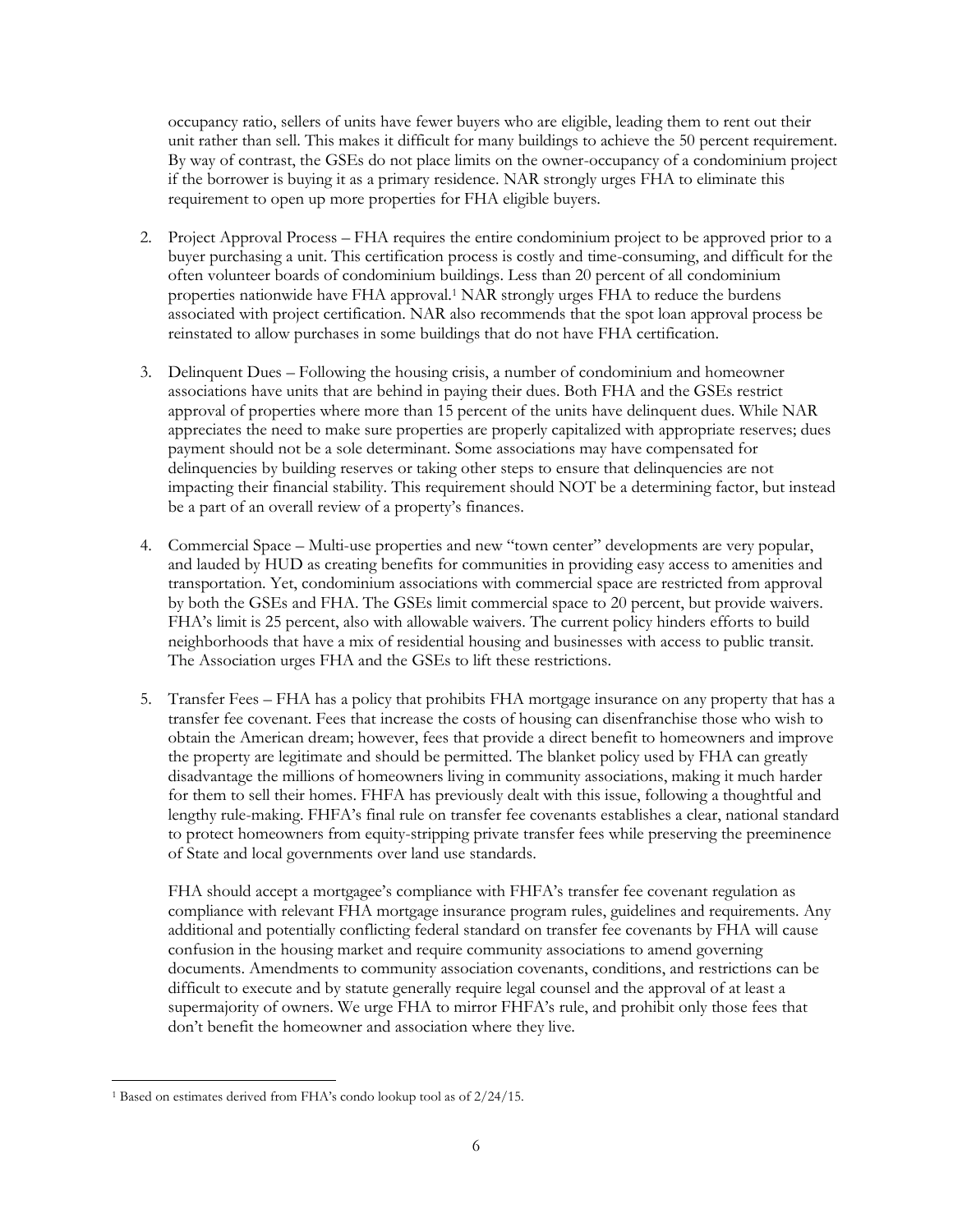occupancy ratio, sellers of units have fewer buyers who are eligible, leading them to rent out their unit rather than sell. This makes it difficult for many buildings to achieve the 50 percent requirement. By way of contrast, the GSEs do not place limits on the owner-occupancy of a condominium project if the borrower is buying it as a primary residence. NAR strongly urges FHA to eliminate this requirement to open up more properties for FHA eligible buyers.

- 2. Project Approval Process FHA requires the entire condominium project to be approved prior to a buyer purchasing a unit. This certification process is costly and time-consuming, and difficult for the often volunteer boards of condominium buildings. Less than 20 percent of all condominium properties nationwide have FHA approval.<sup>1</sup> NAR strongly urges FHA to reduce the burdens associated with project certification. NAR also recommends that the spot loan approval process be reinstated to allow purchases in some buildings that do not have FHA certification.
- 3. Delinquent Dues Following the housing crisis, a number of condominium and homeowner associations have units that are behind in paying their dues. Both FHA and the GSEs restrict approval of properties where more than 15 percent of the units have delinquent dues. While NAR appreciates the need to make sure properties are properly capitalized with appropriate reserves; dues payment should not be a sole determinant. Some associations may have compensated for delinquencies by building reserves or taking other steps to ensure that delinquencies are not impacting their financial stability. This requirement should NOT be a determining factor, but instead be a part of an overall review of a property's finances.
- 4. Commercial Space Multi-use properties and new "town center" developments are very popular, and lauded by HUD as creating benefits for communities in providing easy access to amenities and transportation. Yet, condominium associations with commercial space are restricted from approval by both the GSEs and FHA. The GSEs limit commercial space to 20 percent, but provide waivers. FHA's limit is 25 percent, also with allowable waivers. The current policy hinders efforts to build neighborhoods that have a mix of residential housing and businesses with access to public transit. The Association urges FHA and the GSEs to lift these restrictions.
- 5. Transfer Fees FHA has a policy that prohibits FHA mortgage insurance on any property that has a transfer fee covenant. Fees that increase the costs of housing can disenfranchise those who wish to obtain the American dream; however, fees that provide a direct benefit to homeowners and improve the property are legitimate and should be permitted. The blanket policy used by FHA can greatly disadvantage the millions of homeowners living in community associations, making it much harder for them to sell their homes. FHFA has previously dealt with this issue, following a thoughtful and lengthy rule-making. FHFA's final rule on transfer fee covenants establishes a clear, national standard to protect homeowners from equity-stripping private transfer fees while preserving the preeminence of State and local governments over land use standards.

FHA should accept a mortgagee's compliance with FHFA's transfer fee covenant regulation as compliance with relevant FHA mortgage insurance program rules, guidelines and requirements. Any additional and potentially conflicting federal standard on transfer fee covenants by FHA will cause confusion in the housing market and require community associations to amend governing documents. Amendments to community association covenants, conditions, and restrictions can be difficult to execute and by statute generally require legal counsel and the approval of at least a supermajority of owners. We urge FHA to mirror FHFA's rule, and prohibit only those fees that don't benefit the homeowner and association where they live.

 $\overline{\phantom{a}}$ <sup>1</sup> Based on estimates derived from FHA's condo lookup tool as of 2/24/15.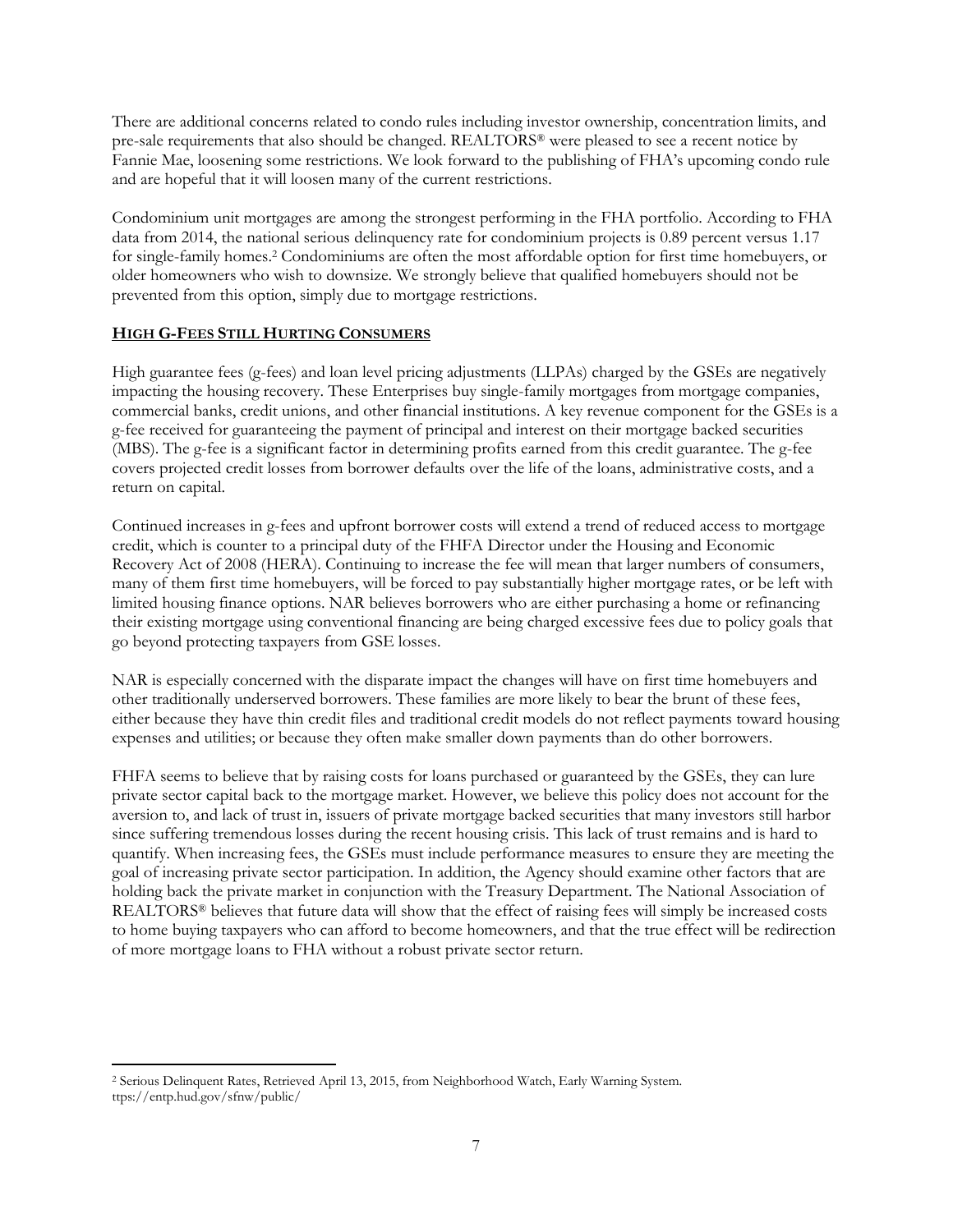There are additional concerns related to condo rules including investor ownership, concentration limits, and pre-sale requirements that also should be changed. REALTORS® were pleased to see a recent notice by Fannie Mae, loosening some restrictions. We look forward to the publishing of FHA's upcoming condo rule and are hopeful that it will loosen many of the current restrictions.

Condominium unit mortgages are among the strongest performing in the FHA portfolio. According to FHA data from 2014, the national serious delinquency rate for condominium projects is 0.89 percent versus 1.17 for single-family homes.<sup>2</sup> Condominiums are often the most affordable option for first time homebuyers, or older homeowners who wish to downsize. We strongly believe that qualified homebuyers should not be prevented from this option, simply due to mortgage restrictions.

# **HIGH G-FEES STILL HURTING CONSUMERS**

High guarantee fees (g-fees) and loan level pricing adjustments (LLPAs) charged by the GSEs are negatively impacting the housing recovery. These Enterprises buy single-family mortgages from mortgage companies, commercial banks, credit unions, and other financial institutions. A key revenue component for the GSEs is a g-fee received for guaranteeing the payment of principal and interest on their mortgage backed securities (MBS). The g-fee is a significant factor in determining profits earned from this credit guarantee. The g-fee covers projected credit losses from borrower defaults over the life of the loans, administrative costs, and a return on capital.

Continued increases in g-fees and upfront borrower costs will extend a trend of reduced access to mortgage credit, which is counter to a principal duty of the FHFA Director under the Housing and Economic Recovery Act of 2008 (HERA). Continuing to increase the fee will mean that larger numbers of consumers, many of them first time homebuyers, will be forced to pay substantially higher mortgage rates, or be left with limited housing finance options. NAR believes borrowers who are either purchasing a home or refinancing their existing mortgage using conventional financing are being charged excessive fees due to policy goals that go beyond protecting taxpayers from GSE losses.

NAR is especially concerned with the disparate impact the changes will have on first time homebuyers and other traditionally underserved borrowers. These families are more likely to bear the brunt of these fees, either because they have thin credit files and traditional credit models do not reflect payments toward housing expenses and utilities; or because they often make smaller down payments than do other borrowers.

FHFA seems to believe that by raising costs for loans purchased or guaranteed by the GSEs, they can lure private sector capital back to the mortgage market. However, we believe this policy does not account for the aversion to, and lack of trust in, issuers of private mortgage backed securities that many investors still harbor since suffering tremendous losses during the recent housing crisis. This lack of trust remains and is hard to quantify. When increasing fees, the GSEs must include performance measures to ensure they are meeting the goal of increasing private sector participation. In addition, the Agency should examine other factors that are holding back the private market in conjunction with the Treasury Department. The National Association of REALTORS® believes that future data will show that the effect of raising fees will simply be increased costs to home buying taxpayers who can afford to become homeowners, and that the true effect will be redirection of more mortgage loans to FHA without a robust private sector return.

 $\overline{\phantom{a}}$ 

<sup>2</sup> Serious Delinquent Rates, Retrieved April 13, 2015, from Neighborhood Watch, Early Warning System. ttps://entp.hud.gov/sfnw/public/